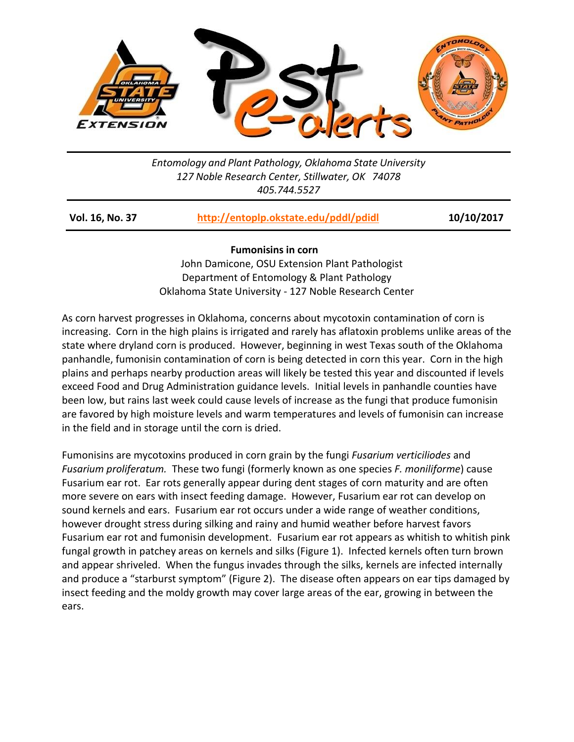

*Entomology and Plant Pathology, Oklahoma State University 127 Noble Research Center, Stillwater, OK 74078 405.744.5527*

| Vol. 16, No. 37 | http://entoplp.okstate.edu/pddl/pdidl | 10/10/2017 |
|-----------------|---------------------------------------|------------|
|                 |                                       |            |

## **Fumonisins in corn**

 John Damicone, OSU Extension Plant Pathologist Department of Entomology & Plant Pathology Oklahoma State University - 127 Noble Research Center

As corn harvest progresses in Oklahoma, concerns about mycotoxin contamination of corn is increasing. Corn in the high plains is irrigated and rarely has aflatoxin problems unlike areas of the state where dryland corn is produced. However, beginning in west Texas south of the Oklahoma panhandle, fumonisin contamination of corn is being detected in corn this year. Corn in the high plains and perhaps nearby production areas will likely be tested this year and discounted if levels exceed Food and Drug Administration guidance levels. Initial levels in panhandle counties have been low, but rains last week could cause levels of increase as the fungi that produce fumonisin are favored by high moisture levels and warm temperatures and levels of fumonisin can increase in the field and in storage until the corn is dried.

Fumonisins are mycotoxins produced in corn grain by the fungi *Fusarium verticiliodes* and *Fusarium proliferatum.* These two fungi (formerly known as one species *F. moniliforme*) cause Fusarium ear rot. Ear rots generally appear during dent stages of corn maturity and are often more severe on ears with insect feeding damage. However, Fusarium ear rot can develop on sound kernels and ears. Fusarium ear rot occurs under a wide range of weather conditions, however drought stress during silking and rainy and humid weather before harvest favors Fusarium ear rot and fumonisin development. Fusarium ear rot appears as whitish to whitish pink fungal growth in patchey areas on kernels and silks (Figure 1). Infected kernels often turn brown and appear shriveled. When the fungus invades through the silks, kernels are infected internally and produce a "starburst symptom" (Figure 2). The disease often appears on ear tips damaged by insect feeding and the moldy growth may cover large areas of the ear, growing in between the ears.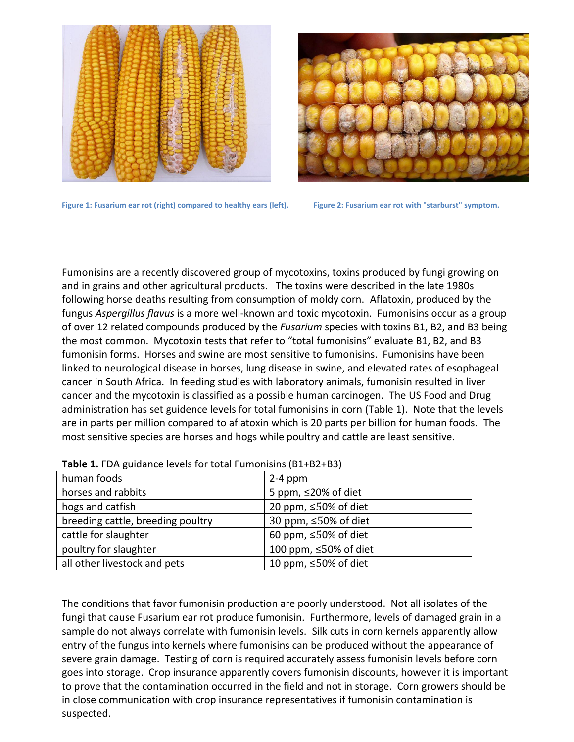



Figure 1: Fusarium ear rot (right) compared to healthy ears (left). Figure 2: Fusarium ear rot with "starburst" symptom.

Fumonisins are a recently discovered group of mycotoxins, toxins produced by fungi growing on and in grains and other agricultural products. The toxins were described in the late 1980s following horse deaths resulting from consumption of moldy corn. Aflatoxin, produced by the fungus *Aspergillus flavus* is a more well-known and toxic mycotoxin. Fumonisins occur as a group of over 12 related compounds produced by the *Fusarium* species with toxins B1, B2, and B3 being the most common. Mycotoxin tests that refer to "total fumonisins" evaluate B1, B2, and B3 fumonisin forms. Horses and swine are most sensitive to fumonisins. Fumonisins have been linked to neurological disease in horses, lung disease in swine, and elevated rates of esophageal cancer in South Africa. In feeding studies with laboratory animals, fumonisin resulted in liver cancer and the mycotoxin is classified as a possible human carcinogen. The US Food and Drug administration has set guidence levels for total fumonisins in corn (Table 1). Note that the levels are in parts per million compared to aflatoxin which is 20 parts per billion for human foods. The most sensitive species are horses and hogs while poultry and cattle are least sensitive.

| human foods                       | $2-4$ ppm                   |
|-----------------------------------|-----------------------------|
| horses and rabbits                | 5 ppm, $\leq$ 20% of diet   |
| hogs and catfish                  | 20 ppm, $\leq 50\%$ of diet |
| breeding cattle, breeding poultry | 30 ppm, ≤50% of diet        |
| cattle for slaughter              | 60 ppm, $\leq$ 50% of diet  |
| poultry for slaughter             | 100 ppm, ≤50% of diet       |
| all other livestock and pets      | 10 ppm, $\leq 50\%$ of diet |

**Table 1.** FDA guidance levels for total Fumonisins (B1+B2+B3)

The conditions that favor fumonisin production are poorly understood. Not all isolates of the fungi that cause Fusarium ear rot produce fumonisin. Furthermore, levels of damaged grain in a sample do not always correlate with fumonisin levels. Silk cuts in corn kernels apparently allow entry of the fungus into kernels where fumonisins can be produced without the appearance of severe grain damage. Testing of corn is required accurately assess fumonisin levels before corn goes into storage. Crop insurance apparently covers fumonisin discounts, however it is important to prove that the contamination occurred in the field and not in storage. Corn growers should be in close communication with crop insurance representatives if fumonisin contamination is suspected.